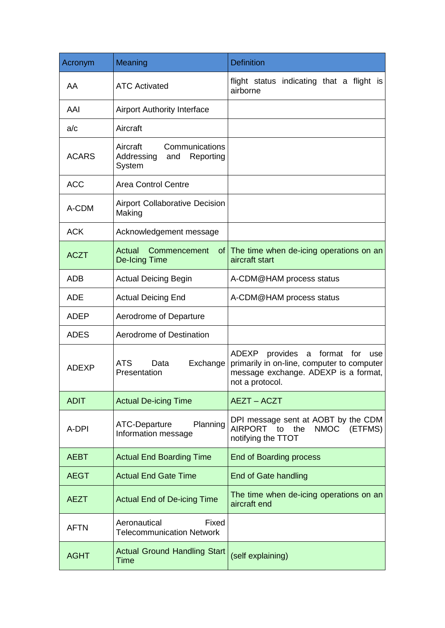| Acronym      | Meaning                                                                | <b>Definition</b>                                                                                                                                              |
|--------------|------------------------------------------------------------------------|----------------------------------------------------------------------------------------------------------------------------------------------------------------|
| AA           | <b>ATC Activated</b>                                                   | flight status indicating that a flight is<br>airborne                                                                                                          |
| AAI          | <b>Airport Authority Interface</b>                                     |                                                                                                                                                                |
| a/c          | Aircraft                                                               |                                                                                                                                                                |
| <b>ACARS</b> | Aircraft<br>Communications<br>Addressing<br>Reporting<br>and<br>System |                                                                                                                                                                |
| <b>ACC</b>   | <b>Area Control Centre</b>                                             |                                                                                                                                                                |
| A-CDM        | Airport Collaborative Decision<br>Making                               |                                                                                                                                                                |
| <b>ACK</b>   | Acknowledgement message                                                |                                                                                                                                                                |
| <b>ACZT</b>  | Actual<br>Commencement<br><b>De-Icing Time</b>                         | of The time when de-icing operations on an<br>aircraft start                                                                                                   |
| <b>ADB</b>   | <b>Actual Deicing Begin</b>                                            | A-CDM@HAM process status                                                                                                                                       |
| <b>ADE</b>   | <b>Actual Deicing End</b>                                              | A-CDM@HAM process status                                                                                                                                       |
| <b>ADEP</b>  | Aerodrome of Departure                                                 |                                                                                                                                                                |
| <b>ADES</b>  | Aerodrome of Destination                                               |                                                                                                                                                                |
| <b>ADEXP</b> | ATS.<br>Data<br>Exchange<br>Presentation                               | <b>ADEXP</b><br>provides<br>format<br>for<br>a<br>use<br>primarily in on-line, computer to computer<br>message exchange. ADEXP is a format,<br>not a protocol. |
| <b>ADIT</b>  | <b>Actual De-icing Time</b>                                            | <b>AEZT - ACZT</b>                                                                                                                                             |
| A-DPI        | ATC-Departure<br>Planning<br>Information message                       | DPI message sent at AOBT by the CDM<br>AIRPORT to<br>the<br>NMOC (ETFMS)<br>notifying the TTOT                                                                 |
| <b>AEBT</b>  | <b>Actual End Boarding Time</b>                                        | <b>End of Boarding process</b>                                                                                                                                 |
| <b>AEGT</b>  | <b>Actual End Gate Time</b>                                            | End of Gate handling                                                                                                                                           |
| <b>AEZT</b>  | <b>Actual End of De-icing Time</b>                                     | The time when de-icing operations on an<br>aircraft end                                                                                                        |
| <b>AFTN</b>  | Aeronautical<br>Fixed<br><b>Telecommunication Network</b>              |                                                                                                                                                                |
| <b>AGHT</b>  | <b>Actual Ground Handling Start</b><br>Time                            | (self explaining)                                                                                                                                              |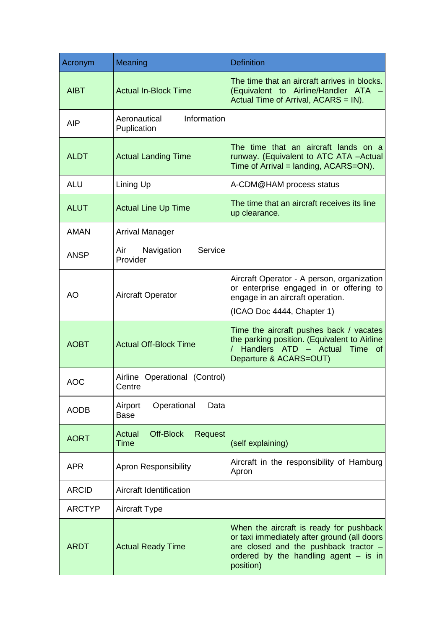| Acronym       | Meaning                                       | <b>Definition</b>                                                                                                                                                                         |
|---------------|-----------------------------------------------|-------------------------------------------------------------------------------------------------------------------------------------------------------------------------------------------|
| <b>AIBT</b>   | <b>Actual In-Block Time</b>                   | The time that an aircraft arrives in blocks.<br>(Equivalent to Airline/Handler ATA<br>Actual Time of Arrival, ACARS = IN).                                                                |
| AIP           | Information<br>Aeronautical<br>Puplication    |                                                                                                                                                                                           |
| <b>ALDT</b>   | <b>Actual Landing Time</b>                    | The time that an aircraft lands on a<br>runway. (Equivalent to ATC ATA -Actual<br>Time of Arrival = landing, ACARS=ON).                                                                   |
| <b>ALU</b>    | Lining Up                                     | A-CDM@HAM process status                                                                                                                                                                  |
| <b>ALUT</b>   | <b>Actual Line Up Time</b>                    | The time that an aircraft receives its line<br>up clearance.                                                                                                                              |
| <b>AMAN</b>   | <b>Arrival Manager</b>                        |                                                                                                                                                                                           |
| <b>ANSP</b>   | Service<br>Air<br>Navigation<br>Provider      |                                                                                                                                                                                           |
| <b>AO</b>     | <b>Aircraft Operator</b>                      | Aircraft Operator - A person, organization<br>or enterprise engaged in or offering to<br>engage in an aircraft operation.<br>(ICAO Doc 4444, Chapter 1)                                   |
| <b>AOBT</b>   | <b>Actual Off-Block Time</b>                  | Time the aircraft pushes back / vacates<br>the parking position. (Equivalent to Airline<br>Handlers ATD - Actual<br>Time of<br>Departure & ACARS=OUT)                                     |
| <b>AOC</b>    | Airline Operational (Control)<br>Centre       |                                                                                                                                                                                           |
| <b>AODB</b>   | Airport<br>Operational<br>Data<br><b>Base</b> |                                                                                                                                                                                           |
| <b>AORT</b>   | Off-Block<br>Request<br>Actual<br>Time        | (self explaining)                                                                                                                                                                         |
| <b>APR</b>    | <b>Apron Responsibility</b>                   | Aircraft in the responsibility of Hamburg<br>Apron                                                                                                                                        |
| <b>ARCID</b>  | Aircraft Identification                       |                                                                                                                                                                                           |
| <b>ARCTYP</b> | <b>Aircraft Type</b>                          |                                                                                                                                                                                           |
| <b>ARDT</b>   | <b>Actual Ready Time</b>                      | When the aircraft is ready for pushback<br>or taxi immediately after ground (all doors<br>are closed and the pushback tractor $-$<br>ordered by the handling agent $-$ is in<br>position) |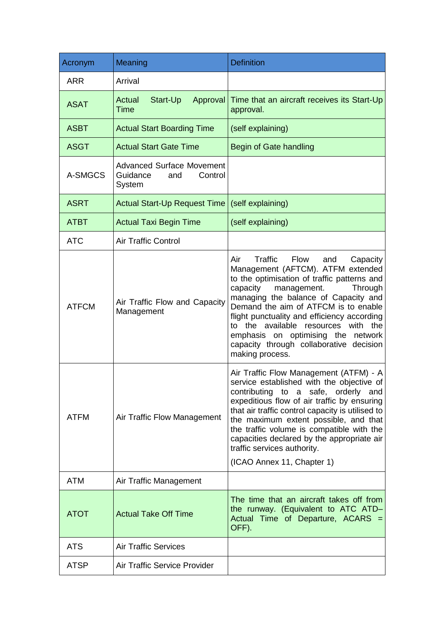| Acronym      | Meaning                                                                  | <b>Definition</b>                                                                                                                                                                                                                                                                                                                                                                                                                             |
|--------------|--------------------------------------------------------------------------|-----------------------------------------------------------------------------------------------------------------------------------------------------------------------------------------------------------------------------------------------------------------------------------------------------------------------------------------------------------------------------------------------------------------------------------------------|
| <b>ARR</b>   | Arrival                                                                  |                                                                                                                                                                                                                                                                                                                                                                                                                                               |
| <b>ASAT</b>  | <b>Actual</b><br>Start-Up<br>Approval<br><b>Time</b>                     | Time that an aircraft receives its Start-Up<br>approval.                                                                                                                                                                                                                                                                                                                                                                                      |
| <b>ASBT</b>  | <b>Actual Start Boarding Time</b>                                        | (self explaining)                                                                                                                                                                                                                                                                                                                                                                                                                             |
| <b>ASGT</b>  | <b>Actual Start Gate Time</b>                                            | Begin of Gate handling                                                                                                                                                                                                                                                                                                                                                                                                                        |
| A-SMGCS      | <b>Advanced Surface Movement</b><br>Guidance<br>and<br>Control<br>System |                                                                                                                                                                                                                                                                                                                                                                                                                                               |
| <b>ASRT</b>  | Actual Start-Up Request Time                                             | (self explaining)                                                                                                                                                                                                                                                                                                                                                                                                                             |
| <b>ATBT</b>  | <b>Actual Taxi Begin Time</b>                                            | (self explaining)                                                                                                                                                                                                                                                                                                                                                                                                                             |
| <b>ATC</b>   | <b>Air Traffic Control</b>                                               |                                                                                                                                                                                                                                                                                                                                                                                                                                               |
| <b>ATFCM</b> | Air Traffic Flow and Capacity<br>Management                              | Air<br>Traffic<br>Flow<br>Capacity<br>and<br>Management (AFTCM). ATFM extended<br>to the optimisation of traffic patterns and<br>capacity<br>management.<br>Through<br>managing the balance of Capacity and<br>Demand the aim of ATFCM is to enable<br>flight punctuality and efficiency according<br>to the available resources with the<br>emphasis on optimising the network<br>capacity through collaborative decision<br>making process. |
| <b>ATFM</b>  | Air Traffic Flow Management                                              | Air Traffic Flow Management (ATFM) - A<br>service established with the objective of<br>contributing to a safe, orderly and<br>expeditious flow of air traffic by ensuring<br>that air traffic control capacity is utilised to<br>the maximum extent possible, and that<br>the traffic volume is compatible with the<br>capacities declared by the appropriate air<br>traffic services authority.<br>(ICAO Annex 11, Chapter 1)                |
| <b>ATM</b>   | Air Traffic Management                                                   |                                                                                                                                                                                                                                                                                                                                                                                                                                               |
| <b>ATOT</b>  | <b>Actual Take Off Time</b>                                              | The time that an aircraft takes off from<br>the runway. (Equivalent to ATC ATD-<br>Actual Time of Departure, ACARS =<br>OFF).                                                                                                                                                                                                                                                                                                                 |
| <b>ATS</b>   | <b>Air Traffic Services</b>                                              |                                                                                                                                                                                                                                                                                                                                                                                                                                               |
| <b>ATSP</b>  | <b>Air Traffic Service Provider</b>                                      |                                                                                                                                                                                                                                                                                                                                                                                                                                               |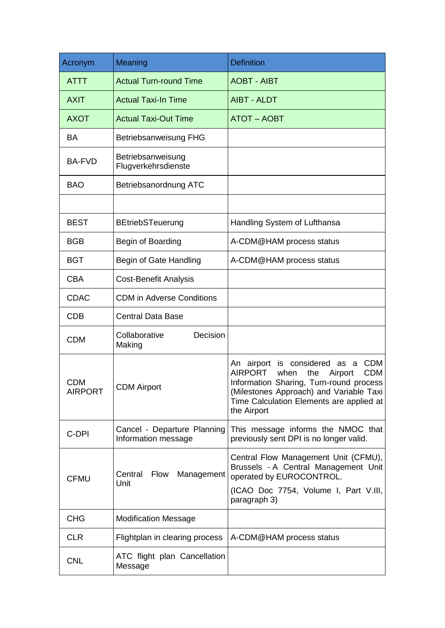| Acronym                      | Meaning                                            | <b>Definition</b>                                                                                                                                                                                                                                         |
|------------------------------|----------------------------------------------------|-----------------------------------------------------------------------------------------------------------------------------------------------------------------------------------------------------------------------------------------------------------|
| <b>ATTT</b>                  | <b>Actual Turn-round Time</b>                      | <b>AOBT - AIBT</b>                                                                                                                                                                                                                                        |
| <b>AXIT</b>                  | <b>Actual Taxi-In Time</b>                         | <b>AIBT - ALDT</b>                                                                                                                                                                                                                                        |
| <b>AXOT</b>                  | <b>Actual Taxi-Out Time</b>                        | <b>ATOT - AOBT</b>                                                                                                                                                                                                                                        |
| <b>BA</b>                    | Betriebsanweisung FHG                              |                                                                                                                                                                                                                                                           |
| <b>BA-FVD</b>                | Betriebsanweisung<br>Flugverkehrsdienste           |                                                                                                                                                                                                                                                           |
| <b>BAO</b>                   | Betriebsanordnung ATC                              |                                                                                                                                                                                                                                                           |
|                              |                                                    |                                                                                                                                                                                                                                                           |
| <b>BEST</b>                  | <b>BEtriebSTeuerung</b>                            | Handling System of Lufthansa                                                                                                                                                                                                                              |
| <b>BGB</b>                   | Begin of Boarding                                  | A-CDM@HAM process status                                                                                                                                                                                                                                  |
| <b>BGT</b>                   | Begin of Gate Handling                             | A-CDM@HAM process status                                                                                                                                                                                                                                  |
| <b>CBA</b>                   | <b>Cost-Benefit Analysis</b>                       |                                                                                                                                                                                                                                                           |
| <b>CDAC</b>                  | <b>CDM</b> in Adverse Conditions                   |                                                                                                                                                                                                                                                           |
| <b>CDB</b>                   | <b>Central Data Base</b>                           |                                                                                                                                                                                                                                                           |
| <b>CDM</b>                   | Collaborative<br>Decision<br>Making                |                                                                                                                                                                                                                                                           |
| <b>CDM</b><br><b>AIRPORT</b> | <b>CDM Airport</b>                                 | <b>CDM</b><br>is considered as a<br>An airport<br><b>AIRPORT</b><br>when<br>the<br>Airport<br><b>CDM</b><br>Information Sharing, Turn-round process<br>(Milestones Approach) and Variable Taxi<br>Time Calculation Elements are applied at<br>the Airport |
| C-DPI                        | Cancel - Departure Planning<br>Information message | This message informs the NMOC that<br>previously sent DPI is no longer valid.                                                                                                                                                                             |
| <b>CFMU</b>                  | <b>Flow</b><br>Management<br>Central<br>Unit       | Central Flow Management Unit (CFMU),<br>Brussels - A Central Management Unit<br>operated by EUROCONTROL.<br>(ICAO Doc 7754, Volume I, Part V.III,<br>paragraph 3)                                                                                         |
| <b>CHG</b>                   | <b>Modification Message</b>                        |                                                                                                                                                                                                                                                           |
| <b>CLR</b>                   | Flightplan in clearing process                     | A-CDM@HAM process status                                                                                                                                                                                                                                  |
| <b>CNL</b>                   | ATC flight plan Cancellation<br>Message            |                                                                                                                                                                                                                                                           |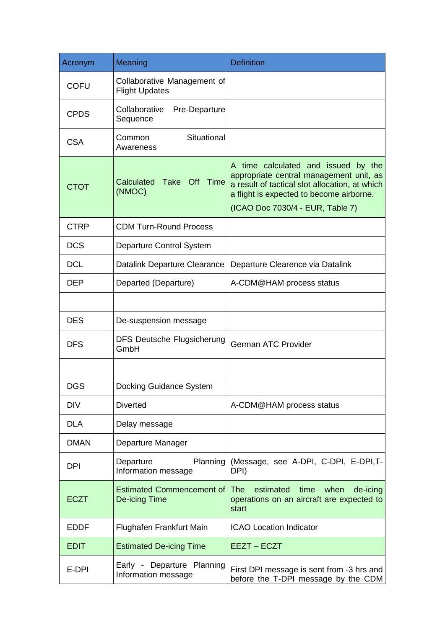| Acronym     | Meaning                                              | <b>Definition</b>                                                                                                                                                                                                |
|-------------|------------------------------------------------------|------------------------------------------------------------------------------------------------------------------------------------------------------------------------------------------------------------------|
| <b>COFU</b> | Collaborative Management of<br><b>Flight Updates</b> |                                                                                                                                                                                                                  |
| <b>CPDS</b> | Collaborative<br>Pre-Departure<br>Sequence           |                                                                                                                                                                                                                  |
| <b>CSA</b>  | Situational<br>Common<br>Awareness                   |                                                                                                                                                                                                                  |
| <b>CTOT</b> | Take Off Time<br>Calculated<br>(NMOC)                | A time calculated and issued by the<br>appropriate central management unit, as<br>a result of tactical slot allocation, at which<br>a flight is expected to become airborne.<br>(ICAO Doc 7030/4 - EUR, Table 7) |
|             |                                                      |                                                                                                                                                                                                                  |
| <b>CTRP</b> | <b>CDM Turn-Round Process</b>                        |                                                                                                                                                                                                                  |
| <b>DCS</b>  | Departure Control System                             |                                                                                                                                                                                                                  |
| <b>DCL</b>  | Datalink Departure Clearance                         | Departure Clearence via Datalink                                                                                                                                                                                 |
| <b>DEP</b>  | Departed (Departure)                                 | A-CDM@HAM process status                                                                                                                                                                                         |
|             |                                                      |                                                                                                                                                                                                                  |
| <b>DES</b>  | De-suspension message                                |                                                                                                                                                                                                                  |
| <b>DFS</b>  | <b>DFS Deutsche Flugsicherung</b><br>GmbH            | <b>German ATC Provider</b>                                                                                                                                                                                       |
|             |                                                      |                                                                                                                                                                                                                  |
| <b>DGS</b>  | Docking Guidance System                              |                                                                                                                                                                                                                  |
| <b>DIV</b>  | <b>Diverted</b>                                      | A-CDM@HAM process status                                                                                                                                                                                         |
| <b>DLA</b>  | Delay message                                        |                                                                                                                                                                                                                  |
| <b>DMAN</b> | Departure Manager                                    |                                                                                                                                                                                                                  |
| <b>DPI</b>  | Planning<br>Departure<br>Information message         | (Message, see A-DPI, C-DPI, E-DPI,T-<br>DPI)                                                                                                                                                                     |
| <b>ECZT</b> | <b>Estimated Commencement of</b><br>De-icing Time    | <b>The</b><br>estimated<br>time<br>when<br>de-icing<br>operations on an aircraft are expected to<br>start                                                                                                        |
| <b>EDDF</b> | Flughafen Frankfurt Main                             | <b>ICAO Location Indicator</b>                                                                                                                                                                                   |
| <b>EDIT</b> | <b>Estimated De-icing Time</b>                       | EEZT-ECZT                                                                                                                                                                                                        |
| E-DPI       | Early - Departure Planning<br>Information message    | First DPI message is sent from -3 hrs and<br>before the T-DPI message by the CDM                                                                                                                                 |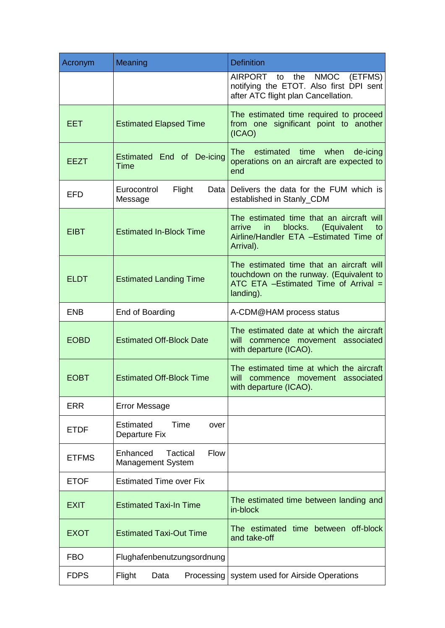| Acronym      | Meaning                                                                | <b>Definition</b>                                                                                                                                |
|--------------|------------------------------------------------------------------------|--------------------------------------------------------------------------------------------------------------------------------------------------|
|              |                                                                        | <b>NMOC</b><br>(ETFMS)<br>AIRPORT to<br>the<br>notifying the ETOT. Also first DPI sent<br>after ATC flight plan Cancellation.                    |
| EET.         | <b>Estimated Elapsed Time</b>                                          | The estimated time required to proceed<br>from one significant point to another<br>(ICAO)                                                        |
| <b>EEZT</b>  | Estimated End of De-icing<br>Time                                      | <b>The</b><br>estimated<br>time when<br>de-icing<br>operations on an aircraft are expected to<br>end                                             |
| <b>EFD</b>   | Eurocontrol<br>Flight<br>Message                                       | Data Delivers the data for the FUM which is<br>established in Stanly_CDM                                                                         |
| <b>EIBT</b>  | <b>Estimated In-Block Time</b>                                         | The estimated time that an aircraft will<br>arrive<br>in<br>blocks.<br>(Equivalent<br>to<br>Airline/Handler ETA - Estimated Time of<br>Arrival). |
| <b>ELDT</b>  | <b>Estimated Landing Time</b>                                          | The estimated time that an aircraft will<br>touchdown on the runway. (Equivalent to<br>ATC ETA $-Estimated$ Time of Arrival $=$<br>landing).     |
| <b>ENB</b>   | End of Boarding                                                        | A-CDM@HAM process status                                                                                                                         |
| <b>EOBD</b>  | <b>Estimated Off-Block Date</b>                                        | The estimated date at which the aircraft<br>will<br>commence movement associated<br>with departure (ICAO).                                       |
| <b>EOBT</b>  | <b>Estimated Off-Block Time</b>                                        | The estimated time at which the aircraft<br>commence movement associated<br>will<br>with departure (ICAO).                                       |
| <b>ERR</b>   | <b>Error Message</b>                                                   |                                                                                                                                                  |
| <b>ETDF</b>  | Estimated<br>Time<br>over<br>Departure Fix                             |                                                                                                                                                  |
| <b>ETFMS</b> | <b>Flow</b><br>Enhanced<br><b>Tactical</b><br><b>Management System</b> |                                                                                                                                                  |
| <b>ETOF</b>  | <b>Estimated Time over Fix</b>                                         |                                                                                                                                                  |
| <b>EXIT</b>  | <b>Estimated Taxi-In Time</b>                                          | The estimated time between landing and<br>in-block                                                                                               |
| <b>EXOT</b>  | <b>Estimated Taxi-Out Time</b>                                         | The estimated time between off-block<br>and take-off                                                                                             |
| <b>FBO</b>   | Flughafenbenutzungsordnung                                             |                                                                                                                                                  |
| <b>FDPS</b>  | Flight<br>Data<br>Processing                                           | system used for Airside Operations                                                                                                               |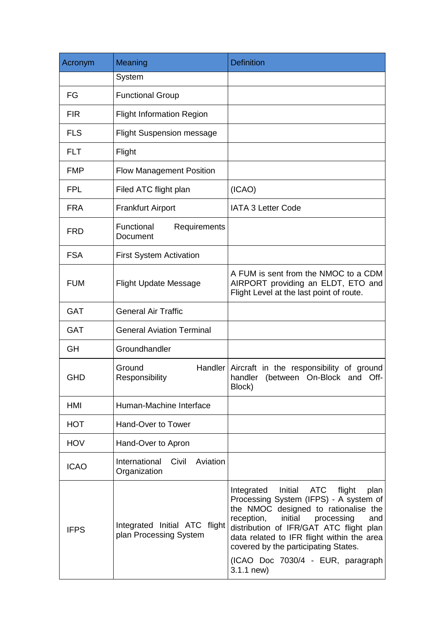| Acronym     | Meaning                                                 | <b>Definition</b>                                                                                                                                                                                                                                                                                                                                                  |
|-------------|---------------------------------------------------------|--------------------------------------------------------------------------------------------------------------------------------------------------------------------------------------------------------------------------------------------------------------------------------------------------------------------------------------------------------------------|
|             | System                                                  |                                                                                                                                                                                                                                                                                                                                                                    |
| FG          | <b>Functional Group</b>                                 |                                                                                                                                                                                                                                                                                                                                                                    |
| <b>FIR</b>  | <b>Flight Information Region</b>                        |                                                                                                                                                                                                                                                                                                                                                                    |
| <b>FLS</b>  | <b>Flight Suspension message</b>                        |                                                                                                                                                                                                                                                                                                                                                                    |
| <b>FLT</b>  | Flight                                                  |                                                                                                                                                                                                                                                                                                                                                                    |
| <b>FMP</b>  | <b>Flow Management Position</b>                         |                                                                                                                                                                                                                                                                                                                                                                    |
| <b>FPL</b>  | Filed ATC flight plan                                   | (ICAO)                                                                                                                                                                                                                                                                                                                                                             |
| <b>FRA</b>  | <b>Frankfurt Airport</b>                                | <b>IATA 3 Letter Code</b>                                                                                                                                                                                                                                                                                                                                          |
| <b>FRD</b>  | Functional<br>Requirements<br>Document                  |                                                                                                                                                                                                                                                                                                                                                                    |
| <b>FSA</b>  | <b>First System Activation</b>                          |                                                                                                                                                                                                                                                                                                                                                                    |
| <b>FUM</b>  | <b>Flight Update Message</b>                            | A FUM is sent from the NMOC to a CDM<br>AIRPORT providing an ELDT, ETO and<br>Flight Level at the last point of route.                                                                                                                                                                                                                                             |
| <b>GAT</b>  | <b>General Air Traffic</b>                              |                                                                                                                                                                                                                                                                                                                                                                    |
| <b>GAT</b>  | <b>General Aviation Terminal</b>                        |                                                                                                                                                                                                                                                                                                                                                                    |
| <b>GH</b>   | Groundhandler                                           |                                                                                                                                                                                                                                                                                                                                                                    |
| <b>GHD</b>  | Ground<br>Responsibility                                | Handler Aircraft in the responsibility of ground<br>(between On-Block and Off-<br>handler<br>Block)                                                                                                                                                                                                                                                                |
| HMI         | Human-Machine Interface                                 |                                                                                                                                                                                                                                                                                                                                                                    |
| <b>HOT</b>  | Hand-Over to Tower                                      |                                                                                                                                                                                                                                                                                                                                                                    |
| <b>HOV</b>  | Hand-Over to Apron                                      |                                                                                                                                                                                                                                                                                                                                                                    |
| <b>ICAO</b> | International<br>Civil<br>Aviation<br>Organization      |                                                                                                                                                                                                                                                                                                                                                                    |
| <b>IFPS</b> | Integrated Initial ATC flight<br>plan Processing System | Initial<br>ATC<br>flight<br>Integrated<br>plan<br>Processing System (IFPS) - A system of<br>the NMOC designed to rationalise the<br>reception,<br>initial<br>processing<br>and<br>distribution of IFR/GAT ATC flight plan<br>data related to IFR flight within the area<br>covered by the participating States.<br>(ICAO Doc 7030/4 - EUR, paragraph<br>3.1.1 new) |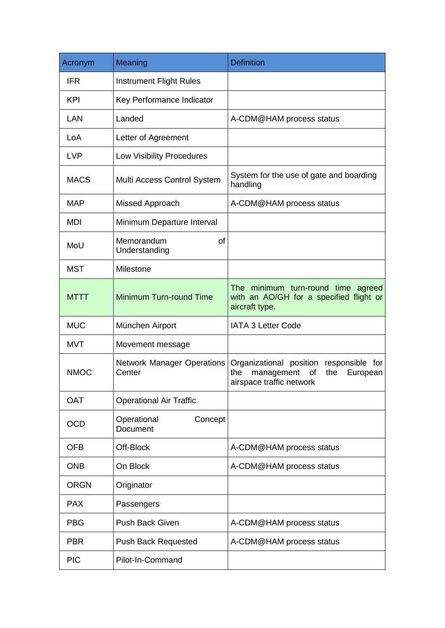| Acronym     | Meaning                              | <b>Definition</b>                                                                                                 |
|-------------|--------------------------------------|-------------------------------------------------------------------------------------------------------------------|
| <b>IFR</b>  | <b>Instrument Flight Rules</b>       |                                                                                                                   |
| <b>KPI</b>  | Key Performance Indicator            |                                                                                                                   |
| LAN         | Landed                               | A-CDM@HAM process status                                                                                          |
| LoA         | Letter of Agreement                  |                                                                                                                   |
| <b>LVP</b>  | <b>Low Visibility Procedures</b>     |                                                                                                                   |
| <b>MACS</b> | Multi Access Control System          | System for the use of gate and boarding<br>handling                                                               |
| <b>MAP</b>  | Missed Approach                      | A-CDM@HAM process status                                                                                          |
| <b>MDI</b>  | Minimum Departure Interval           |                                                                                                                   |
| MoU         | Memorandum<br>of<br>Understanding    |                                                                                                                   |
| <b>MST</b>  | Milestone                            |                                                                                                                   |
| <b>MTTT</b> | Minimum Turn-round Time              | The minimum turn-round time agreed<br>with an AO/GH for a specified flight or<br>aircraft type.                   |
| <b>MUC</b>  | München Airport                      | <b>IATA 3 Letter Code</b>                                                                                         |
| <b>MVT</b>  | Movement message                     |                                                                                                                   |
| <b>NMOC</b> | Network Manager Operations<br>Center | Organizational position responsible for<br>management<br>the<br>of<br>the<br>European<br>airspace traffic network |
| <b>OAT</b>  | <b>Operational Air Traffic</b>       |                                                                                                                   |
| <b>OCD</b>  | Operational<br>Concept<br>Document   |                                                                                                                   |
| <b>OFB</b>  | Off-Block                            | A-CDM@HAM process status                                                                                          |
| <b>ONB</b>  | On Block                             | A-CDM@HAM process status                                                                                          |
| <b>ORGN</b> | Originator                           |                                                                                                                   |
| <b>PAX</b>  | Passengers                           |                                                                                                                   |
| <b>PBG</b>  | <b>Push Back Given</b>               | A-CDM@HAM process status                                                                                          |
| <b>PBR</b>  | <b>Push Back Requested</b>           | A-CDM@HAM process status                                                                                          |
| <b>PIC</b>  | Pilot-In-Command                     |                                                                                                                   |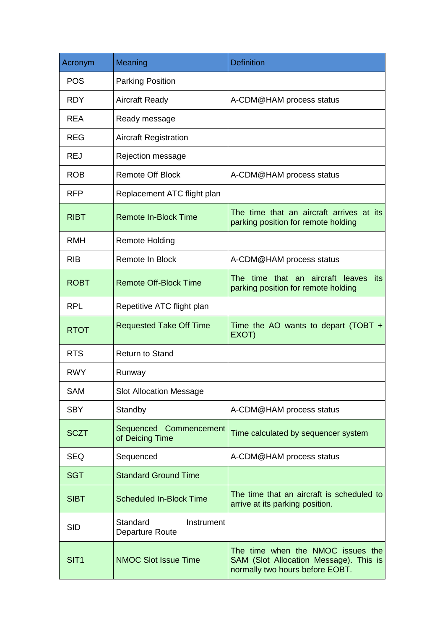| Acronym          | Meaning                                   | <b>Definition</b>                                                                                              |
|------------------|-------------------------------------------|----------------------------------------------------------------------------------------------------------------|
| <b>POS</b>       | <b>Parking Position</b>                   |                                                                                                                |
| <b>RDY</b>       | <b>Aircraft Ready</b>                     | A-CDM@HAM process status                                                                                       |
| <b>REA</b>       | Ready message                             |                                                                                                                |
| <b>REG</b>       | <b>Aircraft Registration</b>              |                                                                                                                |
| <b>REJ</b>       | Rejection message                         |                                                                                                                |
| <b>ROB</b>       | <b>Remote Off Block</b>                   | A-CDM@HAM process status                                                                                       |
| <b>RFP</b>       | Replacement ATC flight plan               |                                                                                                                |
| <b>RIBT</b>      | <b>Remote In-Block Time</b>               | The time that an aircraft arrives at its<br>parking position for remote holding                                |
| <b>RMH</b>       | <b>Remote Holding</b>                     |                                                                                                                |
| <b>RIB</b>       | Remote In Block                           | A-CDM@HAM process status                                                                                       |
| <b>ROBT</b>      | <b>Remote Off-Block Time</b>              | The time that an aircraft leaves<br>its<br>parking position for remote holding                                 |
| <b>RPL</b>       | Repetitive ATC flight plan                |                                                                                                                |
| <b>RTOT</b>      | <b>Requested Take Off Time</b>            | Time the AO wants to depart (TOBT $+$<br>EXOT)                                                                 |
| <b>RTS</b>       | <b>Return to Stand</b>                    |                                                                                                                |
| <b>RWY</b>       | Runway                                    |                                                                                                                |
| <b>SAM</b>       | <b>Slot Allocation Message</b>            |                                                                                                                |
| <b>SBY</b>       | Standby                                   | A-CDM@HAM process status                                                                                       |
| <b>SCZT</b>      | Sequenced Commencement<br>of Deicing Time | Time calculated by sequencer system                                                                            |
| <b>SEQ</b>       | Sequenced                                 | A-CDM@HAM process status                                                                                       |
| <b>SGT</b>       | <b>Standard Ground Time</b>               |                                                                                                                |
| <b>SIBT</b>      | <b>Scheduled In-Block Time</b>            | The time that an aircraft is scheduled to<br>arrive at its parking position.                                   |
| <b>SID</b>       | Standard<br>Instrument<br>Departure Route |                                                                                                                |
| SIT <sub>1</sub> | <b>NMOC Slot Issue Time</b>               | The time when the NMOC issues the<br>SAM (Slot Allocation Message). This is<br>normally two hours before EOBT. |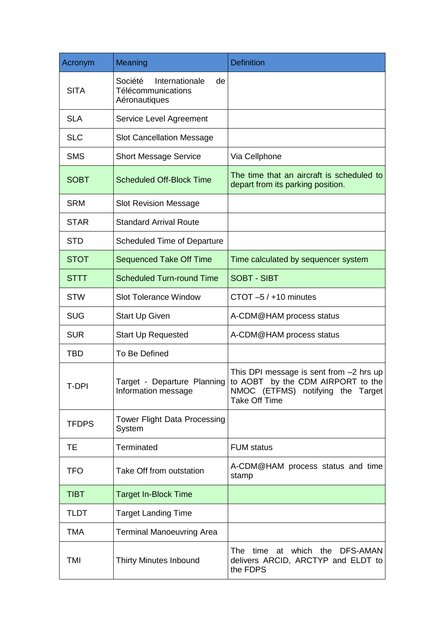| Acronym      | Meaning                                                                | <b>Definition</b>                                                                                                                            |
|--------------|------------------------------------------------------------------------|----------------------------------------------------------------------------------------------------------------------------------------------|
| <b>SITA</b>  | Société<br>Internationale<br>de<br>Télécommunications<br>Aéronautiques |                                                                                                                                              |
| <b>SLA</b>   | Service Level Agreement                                                |                                                                                                                                              |
| <b>SLC</b>   | <b>Slot Cancellation Message</b>                                       |                                                                                                                                              |
| <b>SMS</b>   | <b>Short Message Service</b>                                           | Via Cellphone                                                                                                                                |
| <b>SOBT</b>  | <b>Scheduled Off-Block Time</b>                                        | The time that an aircraft is scheduled to<br>depart from its parking position.                                                               |
| <b>SRM</b>   | <b>Slot Revision Message</b>                                           |                                                                                                                                              |
| <b>STAR</b>  | <b>Standard Arrival Route</b>                                          |                                                                                                                                              |
| <b>STD</b>   | <b>Scheduled Time of Departure</b>                                     |                                                                                                                                              |
| <b>STOT</b>  | <b>Sequenced Take Off Time</b>                                         | Time calculated by sequencer system                                                                                                          |
| <b>STTT</b>  | <b>Scheduled Turn-round Time</b>                                       | <b>SOBT - SIBT</b>                                                                                                                           |
| <b>STW</b>   | <b>Slot Tolerance Window</b>                                           | CTOT $-5/110$ minutes                                                                                                                        |
| <b>SUG</b>   | <b>Start Up Given</b>                                                  | A-CDM@HAM process status                                                                                                                     |
| <b>SUR</b>   | <b>Start Up Requested</b>                                              | A-CDM@HAM process status                                                                                                                     |
| <b>TBD</b>   | <b>To Be Defined</b>                                                   |                                                                                                                                              |
| T-DPI        | Target - Departure Planning<br>Information message                     | This DPI message is sent from -2 hrs up<br>to AOBT<br>by the CDM AIRPORT to the<br>NMOC (ETFMS) notifying the Target<br><b>Take Off Time</b> |
| <b>TFDPS</b> | <b>Tower Flight Data Processing</b><br>System                          |                                                                                                                                              |
| <b>TE</b>    | <b>Terminated</b>                                                      | <b>FUM status</b>                                                                                                                            |
| <b>TFO</b>   | Take Off from outstation                                               | A-CDM@HAM process status and time<br>stamp                                                                                                   |
| <b>TIBT</b>  | <b>Target In-Block Time</b>                                            |                                                                                                                                              |
| <b>TLDT</b>  | <b>Target Landing Time</b>                                             |                                                                                                                                              |
| <b>TMA</b>   | <b>Terminal Manoeuvring Area</b>                                       |                                                                                                                                              |
| <b>TMI</b>   | <b>Thirty Minutes Inbound</b>                                          | The .<br>which the<br>DFS-AMAN<br>time<br>at<br>delivers ARCID, ARCTYP and ELDT to<br>the FDPS                                               |